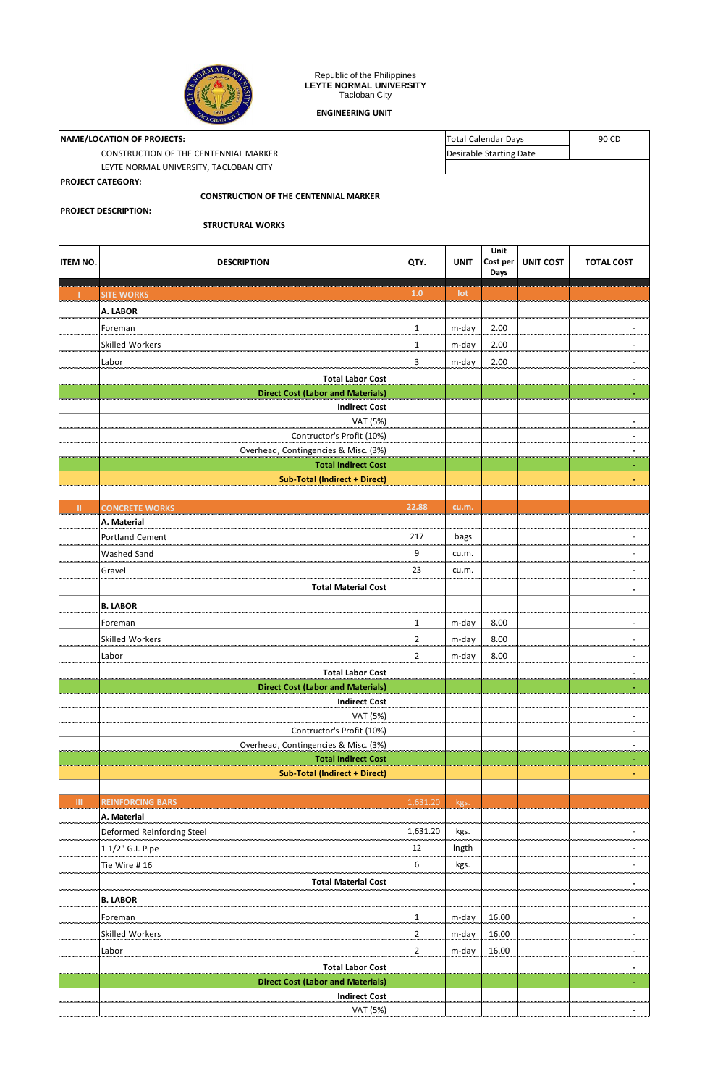

## Republic of the Philippines **LEYTE NORMAL UNIVERSITY** Tacloban City

**ENGINEERING UNIT**

| NAME/LOCATION OF PROJECTS: | <b>Total Calendar Days</b>                                          |                |                         |                  | 90 CD            |                              |
|----------------------------|---------------------------------------------------------------------|----------------|-------------------------|------------------|------------------|------------------------------|
|                            | CONSTRUCTION OF THE CENTENNIAL MARKER                               |                | Desirable Starting Date |                  |                  |                              |
|                            | LEYTE NORMAL UNIVERSITY, TACLOBAN CITY                              |                |                         |                  |                  |                              |
|                            | <b>PROJECT CATEGORY:</b>                                            |                |                         |                  |                  |                              |
|                            | <b>CONSTRUCTION OF THE CENTENNIAL MARKER</b>                        |                |                         |                  |                  |                              |
|                            | <b>PROJECT DESCRIPTION:</b>                                         |                |                         |                  |                  |                              |
|                            | <b>STRUCTURAL WORKS</b>                                             |                |                         |                  |                  |                              |
|                            |                                                                     |                |                         | Unit             |                  |                              |
| <b>ITEM NO.</b>            | <b>DESCRIPTION</b>                                                  | QTY.           | <b>UNIT</b>             | Cost per<br>Days | <b>UNIT COST</b> | <b>TOTAL COST</b>            |
|                            |                                                                     |                |                         |                  |                  |                              |
| T.                         | <b>SITE WORKS</b>                                                   | 1.0            | lot                     |                  |                  |                              |
|                            | A. LABOR                                                            |                |                         |                  |                  |                              |
|                            | Foreman                                                             | $1\,$          | m-day                   | 2.00             |                  |                              |
|                            | Skilled Workers                                                     | $\mathbf{1}$   | m-day                   | 2.00             |                  | $\overline{\phantom{a}}$     |
|                            | Labor                                                               | 3              | m-day                   | 2.00             |                  |                              |
|                            | <b>Total Labor Cost</b>                                             |                |                         |                  |                  | ÷                            |
|                            | <b>Direct Cost (Labor and Materials)</b>                            |                |                         |                  |                  | ÷.                           |
|                            | <b>Indirect Cost</b><br>VAT (5%)                                    |                |                         |                  |                  | $\blacksquare$               |
|                            | Contructor's Profit (10%)                                           |                |                         |                  |                  | ÷                            |
|                            | Overhead, Contingencies & Misc. (3%)                                |                |                         |                  |                  |                              |
|                            | <b>Total Indirect Cost</b>                                          |                |                         |                  |                  |                              |
|                            | Sub-Total (Indirect + Direct)                                       |                |                         |                  |                  |                              |
|                            |                                                                     |                |                         |                  |                  |                              |
| Ш.                         | <b>CONCRETE WORKS</b><br>A. Material                                | 22.88          | cu.m.                   |                  |                  |                              |
|                            | <b>Portland Cement</b>                                              | 217            | bags                    |                  |                  |                              |
|                            | Washed Sand                                                         | 9              | cu.m.                   |                  |                  |                              |
|                            | Gravel                                                              | 23             | cu.m.                   |                  |                  |                              |
|                            | <b>Total Material Cost</b>                                          |                |                         |                  |                  |                              |
|                            |                                                                     |                |                         |                  |                  |                              |
|                            | <b>B. LABOR</b>                                                     |                |                         |                  |                  |                              |
|                            | Foreman<br><b>Skilled Workers</b>                                   | $\mathbf{1}$   | m-day                   | 8.00             |                  |                              |
|                            |                                                                     | $\overline{2}$ | m-day                   | 8.00             |                  |                              |
|                            | Labor                                                               | $\overline{2}$ | m-day                   | 8.00             |                  | ÷,                           |
|                            | <b>Total Labor Cost</b><br><b>Direct Cost (Labor and Materials)</b> |                |                         |                  |                  |                              |
|                            | <b>Indirect Cost</b>                                                |                |                         |                  |                  |                              |
|                            | VAT (5%)                                                            |                |                         |                  |                  |                              |
|                            | Contructor's Profit (10%)                                           |                |                         |                  |                  | ÷                            |
|                            | Overhead, Contingencies & Misc. (3%)                                |                |                         |                  |                  | $\blacksquare$               |
|                            | <b>Total Indirect Cost</b>                                          |                |                         |                  |                  |                              |
|                            | Sub-Total (Indirect + Direct)                                       |                |                         |                  |                  |                              |
| Ш                          | <b>REINFORCING BARS</b>                                             | 1,631.20       | kgs.                    |                  |                  |                              |
|                            | A. Material                                                         |                |                         |                  |                  |                              |
|                            | Deformed Reinforcing Steel                                          | 1,631.20       | kgs.                    |                  |                  | ٠                            |
|                            | 1 1/2" G.I. Pipe                                                    | 12             | Ingth                   |                  |                  | $\qquad \qquad \blacksquare$ |
|                            | Tie Wire #16                                                        | 6              | kgs.                    |                  |                  |                              |
|                            | <b>Total Material Cost</b>                                          |                |                         |                  |                  |                              |
|                            | <b>B. LABOR</b>                                                     |                |                         |                  |                  |                              |
|                            | Foreman                                                             | $\mathbf 1$    | m-day                   | 16.00            |                  |                              |
|                            | Skilled Workers                                                     | $\overline{2}$ | m-day                   | 16.00            |                  |                              |
|                            | Labor                                                               | $\overline{2}$ | m-day                   | 16.00            |                  | ÷                            |
|                            | <b>Total Labor Cost</b>                                             |                |                         |                  |                  |                              |
|                            | <b>Direct Cost (Labor and Materials)</b>                            |                |                         |                  |                  |                              |
|                            | <b>Indirect Cost</b>                                                |                |                         |                  |                  |                              |
|                            | VAT (5%)                                                            |                |                         |                  |                  |                              |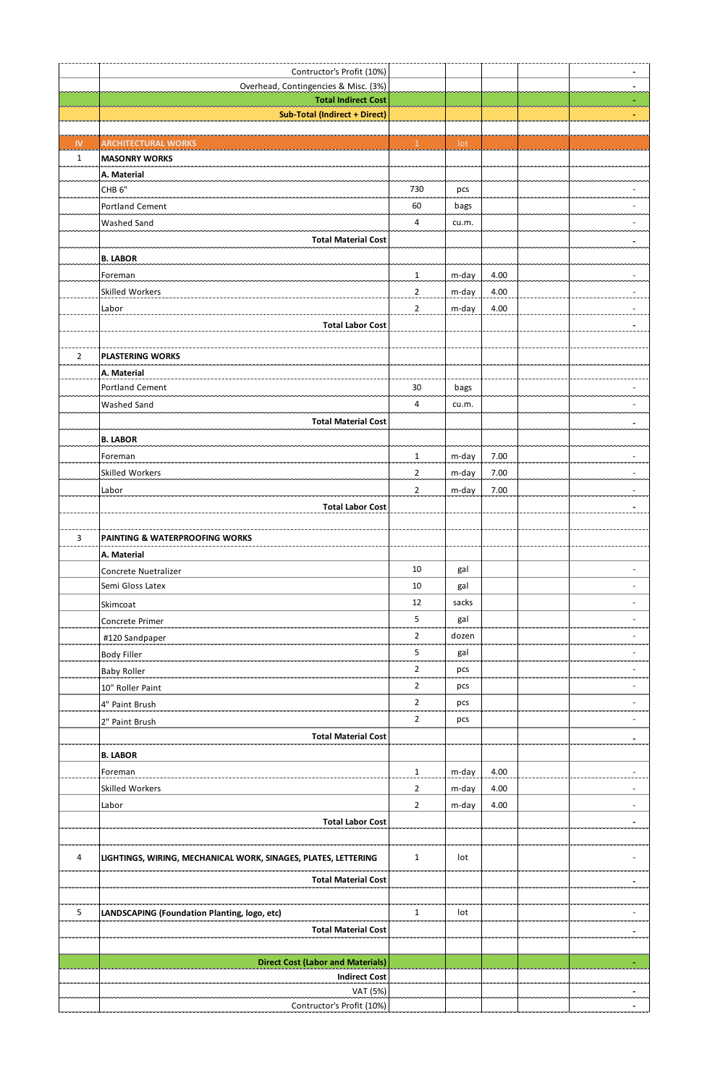|                | Contructor's Profit (10%)                                      |                |       |      | ÷,             |
|----------------|----------------------------------------------------------------|----------------|-------|------|----------------|
|                | Overhead, Contingencies & Misc. (3%)                           |                |       |      | $\overline{a}$ |
|                | <b>Total Indirect Cost</b>                                     |                |       |      | $\bullet$ .    |
|                | <b>Sub-Total (Indirect + Direct)</b>                           |                |       |      |                |
| <b>IV</b>      | <b>ARCHITECTURAL WORKS</b>                                     | $\mathbf{1}$   | lot   |      |                |
| $\mathbf{1}$   | <b>MASONRY WORKS</b>                                           |                |       |      |                |
|                | A. Material                                                    |                |       |      |                |
|                | CHB <sub>6"</sub>                                              | 730            | pcs   |      |                |
|                | <b>Portland Cement</b>                                         | 60             | bags  |      |                |
|                | <b>Washed Sand</b>                                             | 4              | cu.m. |      |                |
|                | <b>Total Material Cost</b>                                     |                |       |      |                |
|                | <b>B. LABOR</b>                                                |                |       |      |                |
|                | Foreman                                                        | $\mathbf{1}$   | m-day | 4.00 |                |
|                | <b>Skilled Workers</b>                                         | $\mathbf{2}$   | m-day | 4.00 |                |
|                | Labor                                                          | $\overline{2}$ | m-day | 4.00 |                |
|                | <b>Total Labor Cost</b>                                        |                |       |      |                |
|                |                                                                |                |       |      |                |
| $\overline{2}$ | <b>PLASTERING WORKS</b>                                        |                |       |      |                |
|                | A. Material                                                    |                |       |      |                |
|                | <b>Portland Cement</b>                                         | 30             | bags  |      |                |
|                | Washed Sand                                                    | 4              | cu.m. |      |                |
|                | <b>Total Material Cost</b>                                     |                |       |      |                |
|                | <b>B. LABOR</b>                                                |                |       |      |                |
|                | Foreman                                                        | $\mathbf{1}$   | m-day | 7.00 | ٠              |
|                | <b>Skilled Workers</b>                                         | $\mathbf{2}$   | m-day | 7.00 |                |
|                | Labor                                                          | $\overline{2}$ | m-day | 7.00 |                |
|                | <b>Total Labor Cost</b>                                        |                |       |      |                |
|                |                                                                |                |       |      |                |
| 3              | PAINTING & WATERPROOFING WORKS                                 |                |       |      |                |
|                | A. Material                                                    |                |       |      |                |
|                | Concrete Nuetralizer                                           | 10             | gal   |      |                |
|                | Semi Gloss Latex                                               | 10             | gal   |      |                |
|                | Skimcoat                                                       | 12             | sacks |      |                |
|                | Concrete Primer                                                | 5              | gal   |      |                |
|                | #120 Sandpaper                                                 | $\overline{2}$ | dozen |      |                |
|                | <b>Body Filler</b>                                             | 5              | gal   |      |                |
|                | <b>Baby Roller</b>                                             | $\overline{2}$ | pcs   |      |                |
|                | 10" Roller Paint                                               | $\overline{2}$ | pcs   |      |                |
|                | 4" Paint Brush                                                 | $\overline{2}$ | pcs   |      |                |
|                | 2" Paint Brush                                                 | $\overline{2}$ | pcs   |      |                |
|                | <b>Total Material Cost</b>                                     |                |       |      |                |
|                | <b>B. LABOR</b>                                                |                |       |      |                |
|                | Foreman                                                        | $\mathbf{1}$   | m-day | 4.00 |                |
|                | Skilled Workers                                                | $\overline{2}$ | m-day | 4.00 |                |
|                | Labor                                                          | $\overline{2}$ | m-day | 4.00 |                |
|                | <b>Total Labor Cost</b>                                        |                |       |      |                |
|                |                                                                |                |       |      |                |
| 4              | LIGHTINGS, WIRING, MECHANICAL WORK, SINAGES, PLATES, LETTERING | $\mathbf{1}$   | lot   |      |                |
|                | <b>Total Material Cost</b>                                     |                |       |      |                |
|                |                                                                |                |       |      |                |
| 5              | LANDSCAPING (Foundation Planting, logo, etc)                   | $\mathbf{1}$   | lot   |      |                |
|                | <b>Total Material Cost</b>                                     |                |       |      |                |
|                |                                                                |                |       |      |                |
|                | <b>Direct Cost (Labor and Materials)</b>                       |                |       |      |                |
|                | <b>Indirect Cost</b>                                           |                |       |      |                |
|                | VAT (5%)                                                       |                |       |      |                |
|                | Contructor's Profit (10%)                                      |                |       |      | $\blacksquare$ |